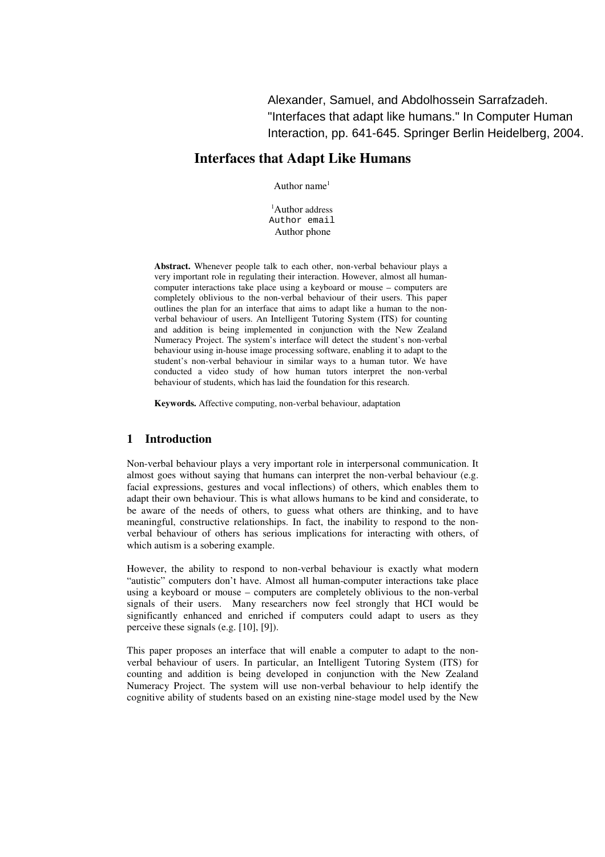Alexander, Samuel, and Abdolhossein Sarrafzadeh. "Interfaces that adapt like humans." In Computer Human Interaction, pp. 641-645. Springer Berlin Heidelberg, 2004.

# **Interfaces that Adapt Like Humans**

Author name $<sup>1</sup>$ </sup>

<sup>1</sup>Author address Author email Author phone

**Abstract.** Whenever people talk to each other, non-verbal behaviour plays a very important role in regulating their interaction. However, almost all humancomputer interactions take place using a keyboard or mouse – computers are completely oblivious to the non-verbal behaviour of their users. This paper outlines the plan for an interface that aims to adapt like a human to the nonverbal behaviour of users. An Intelligent Tutoring System (ITS) for counting and addition is being implemented in conjunction with the New Zealand Numeracy Project. The system's interface will detect the student's non-verbal behaviour using in-house image processing software, enabling it to adapt to the student's non-verbal behaviour in similar ways to a human tutor. We have conducted a video study of how human tutors interpret the non-verbal behaviour of students, which has laid the foundation for this research.

**Keywords.** Affective computing, non-verbal behaviour, adaptation

## **1 Introduction**

Non-verbal behaviour plays a very important role in interpersonal communication. It almost goes without saying that humans can interpret the non-verbal behaviour (e.g. facial expressions, gestures and vocal inflections) of others, which enables them to adapt their own behaviour. This is what allows humans to be kind and considerate, to be aware of the needs of others, to guess what others are thinking, and to have meaningful, constructive relationships. In fact, the inability to respond to the nonverbal behaviour of others has serious implications for interacting with others, of which autism is a sobering example.

However, the ability to respond to non-verbal behaviour is exactly what modern "autistic" computers don't have. Almost all human-computer interactions take place using a keyboard or mouse – computers are completely oblivious to the non-verbal signals of their users. Many researchers now feel strongly that HCI would be significantly enhanced and enriched if computers could adapt to users as they perceive these signals (e.g. [10], [9]).

This paper proposes an interface that will enable a computer to adapt to the nonverbal behaviour of users. In particular, an Intelligent Tutoring System (ITS) for counting and addition is being developed in conjunction with the New Zealand Numeracy Project. The system will use non-verbal behaviour to help identify the cognitive ability of students based on an existing nine-stage model used by the New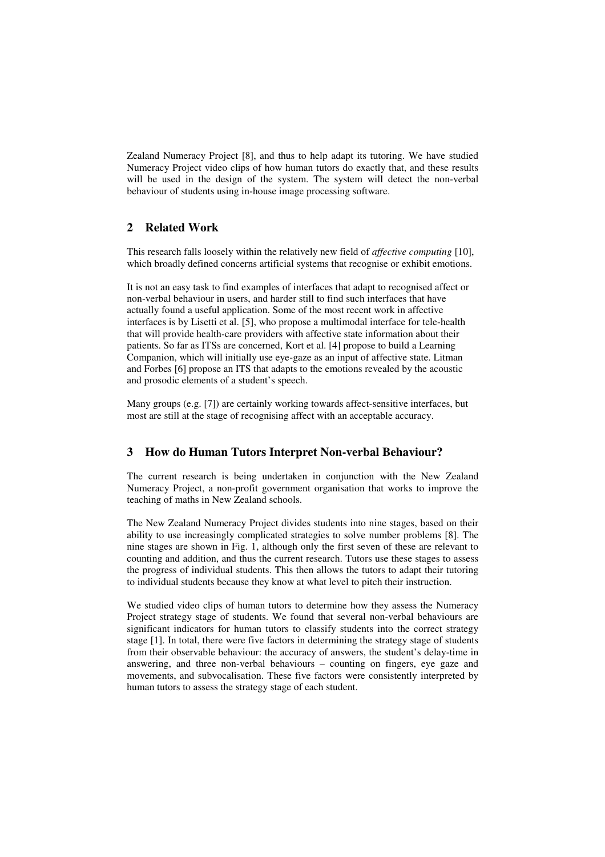Zealand Numeracy Project [8], and thus to help adapt its tutoring. We have studied Numeracy Project video clips of how human tutors do exactly that, and these results will be used in the design of the system. The system will detect the non-verbal behaviour of students using in-house image processing software.

## **2 Related Work**

This research falls loosely within the relatively new field of *affective computing* [10], which broadly defined concerns artificial systems that recognise or exhibit emotions.

It is not an easy task to find examples of interfaces that adapt to recognised affect or non-verbal behaviour in users, and harder still to find such interfaces that have actually found a useful application. Some of the most recent work in affective interfaces is by Lisetti et al. [5], who propose a multimodal interface for tele-health that will provide health-care providers with affective state information about their patients. So far as ITSs are concerned, Kort et al. [4] propose to build a Learning Companion, which will initially use eye-gaze as an input of affective state. Litman and Forbes [6] propose an ITS that adapts to the emotions revealed by the acoustic and prosodic elements of a student's speech.

Many groups (e.g. [7]) are certainly working towards affect-sensitive interfaces, but most are still at the stage of recognising affect with an acceptable accuracy.

## **3 How do Human Tutors Interpret Non-verbal Behaviour?**

The current research is being undertaken in conjunction with the New Zealand Numeracy Project, a non-profit government organisation that works to improve the teaching of maths in New Zealand schools.

The New Zealand Numeracy Project divides students into nine stages, based on their ability to use increasingly complicated strategies to solve number problems [8]. The nine stages are shown in Fig. 1, although only the first seven of these are relevant to counting and addition, and thus the current research. Tutors use these stages to assess the progress of individual students. This then allows the tutors to adapt their tutoring to individual students because they know at what level to pitch their instruction.

We studied video clips of human tutors to determine how they assess the Numeracy Project strategy stage of students. We found that several non-verbal behaviours are significant indicators for human tutors to classify students into the correct strategy stage [1]. In total, there were five factors in determining the strategy stage of students from their observable behaviour: the accuracy of answers, the student's delay-time in answering, and three non-verbal behaviours – counting on fingers, eye gaze and movements, and subvocalisation. These five factors were consistently interpreted by human tutors to assess the strategy stage of each student.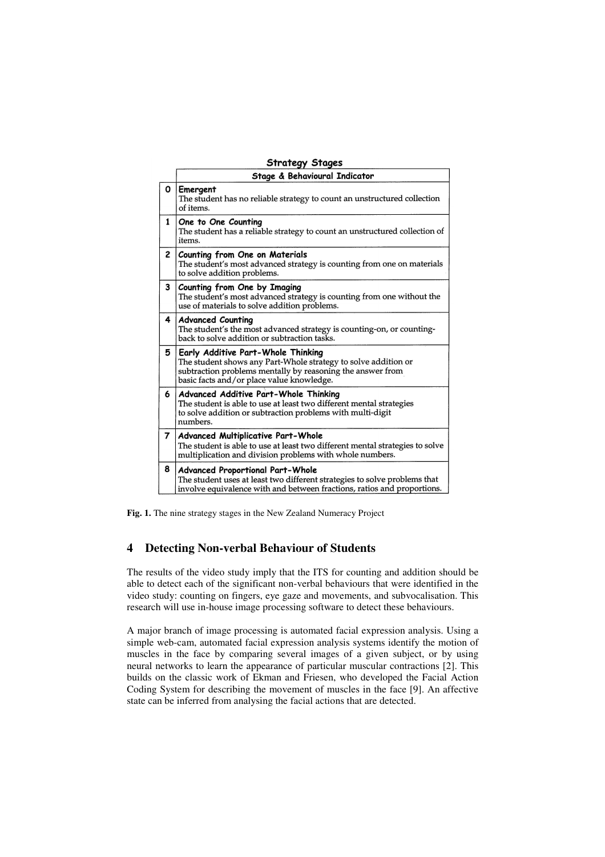| Strategy Stages               |                                                                                                                                                                                                                 |
|-------------------------------|-----------------------------------------------------------------------------------------------------------------------------------------------------------------------------------------------------------------|
| Stage & Behavioural Indicator |                                                                                                                                                                                                                 |
| 0                             | Emergent<br>The student has no reliable strategy to count an unstructured collection<br>of items.                                                                                                               |
| $\mathbf{1}$                  | One to One Counting<br>The student has a reliable strategy to count an unstructured collection of<br>items.                                                                                                     |
| $\overline{2}$                | Counting from One on Materials<br>The student's most advanced strategy is counting from one on materials<br>to solve addition problems.                                                                         |
| 3                             | Counting from One by Imaging<br>The student's most advanced strategy is counting from one without the<br>use of materials to solve addition problems.                                                           |
| 4                             | <b>Advanced Counting</b><br>The student's the most advanced strategy is counting-on, or counting-<br>back to solve addition or subtraction tasks.                                                               |
| 5                             | Early Additive Part-Whole Thinking<br>The student shows any Part-Whole strategy to solve addition or<br>subtraction problems mentally by reasoning the answer from<br>basic facts and/or place value knowledge. |
| 6                             | Advanced Additive Part-Whole Thinking<br>The student is able to use at least two different mental strategies<br>to solve addition or subtraction problems with multi-digit<br>numbers.                          |
| 7                             | Advanced Multiplicative Part-Whole<br>The student is able to use at least two different mental strategies to solve<br>multiplication and division problems with whole numbers.                                  |
| 8                             | Advanced Proportional Part-Whole<br>The student uses at least two different strategies to solve problems that<br>involve equivalence with and between fractions, ratios and proportions.                        |

Strategy Stages

**Fig. 1.** The nine strategy stages in the New Zealand Numeracy Project

#### **4 Detecting Non-verbal Behaviour of Students**

The results of the video study imply that the ITS for counting and addition should be able to detect each of the significant non-verbal behaviours that were identified in the video study: counting on fingers, eye gaze and movements, and subvocalisation. This research will use in-house image processing software to detect these behaviours.

A major branch of image processing is automated facial expression analysis. Using a simple web-cam, automated facial expression analysis systems identify the motion of muscles in the face by comparing several images of a given subject, or by using neural networks to learn the appearance of particular muscular contractions [2]. This builds on the classic work of Ekman and Friesen, who developed the Facial Action Coding System for describing the movement of muscles in the face [9]. An affective state can be inferred from analysing the facial actions that are detected.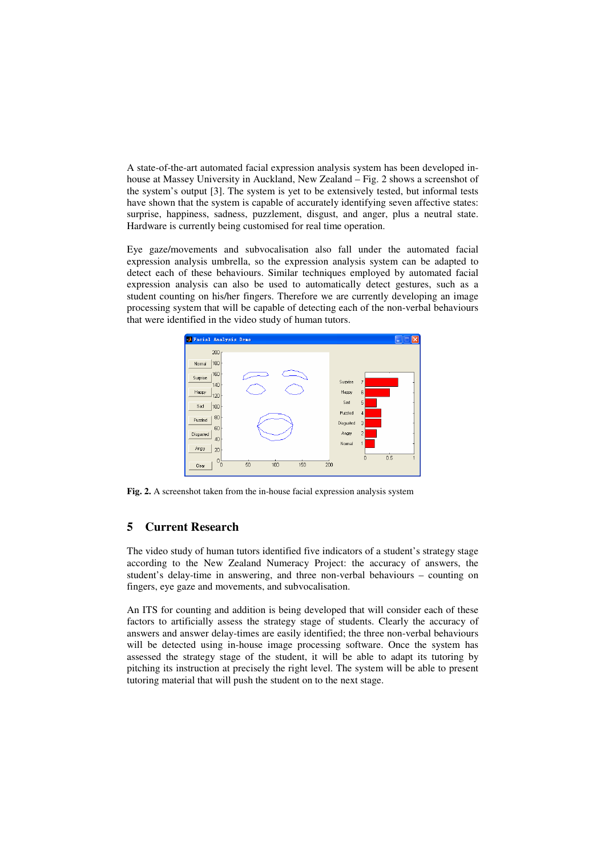A state-of-the-art automated facial expression analysis system has been developed inhouse at Massey University in Auckland, New Zealand – Fig. 2 shows a screenshot of the system's output [3]. The system is yet to be extensively tested, but informal tests have shown that the system is capable of accurately identifying seven affective states: surprise, happiness, sadness, puzzlement, disgust, and anger, plus a neutral state. Hardware is currently being customised for real time operation.

Eye gaze/movements and subvocalisation also fall under the automated facial expression analysis umbrella, so the expression analysis system can be adapted to detect each of these behaviours. Similar techniques employed by automated facial expression analysis can also be used to automatically detect gestures, such as a student counting on his/her fingers. Therefore we are currently developing an image processing system that will be capable of detecting each of the non-verbal behaviours that were identified in the video study of human tutors.



**Fig. 2.** A screenshot taken from the in-house facial expression analysis system

#### **5 Current Research**

The video study of human tutors identified five indicators of a student's strategy stage according to the New Zealand Numeracy Project: the accuracy of answers, the student's delay-time in answering, and three non-verbal behaviours – counting on fingers, eye gaze and movements, and subvocalisation.

An ITS for counting and addition is being developed that will consider each of these factors to artificially assess the strategy stage of students. Clearly the accuracy of answers and answer delay-times are easily identified; the three non-verbal behaviours will be detected using in-house image processing software. Once the system has assessed the strategy stage of the student, it will be able to adapt its tutoring by pitching its instruction at precisely the right level. The system will be able to present tutoring material that will push the student on to the next stage.